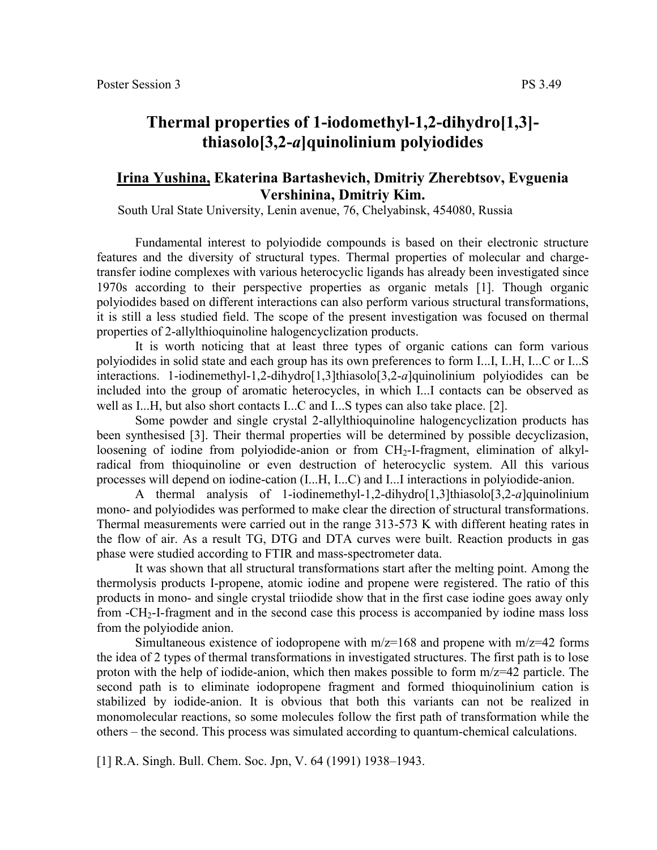## **Thermal properties of 1-iodomethyl-1,2-dihydro[1,3] thiasolo[3,2-***а***]quinolinium polyiodides**

## **Irina Yushina, Ekaterina Bartashevich, Dmitriy Zherebtsov, Evguenia Vershinina, Dmitriy Kim.**

South Ural State University, Lenin avenue, 76, Chelyabinsk, 454080, Russia

Fundamental interest to polyiodide compounds is based on their electronic structure features and the diversity of structural types. Thermal properties of molecular and chargetransfer iodine complexes with various heterocyclic ligands has already been investigated since 1970s according to their perspective properties as organic metals [1]. Though organic polyiodides based on different interactions can also perform various structural transformations, it is still a less studied field. The scope of the present investigation was focused on thermal properties of 2-allylthioquinoline halogencyclization products.

It is worth noticing that at least three types of organic cations can form various polyiodides in solid state and each group has its own preferences to form I...I, I..H, I...C or I...S interactions. 1-iodinemethyl-1,2-dihydro[1,3]thiasolo[3,2-*а*]quinolinium polyiodides can be included into the group of aromatic heterocycles, in which I...I contacts can be observed as well as I...H, but also short contacts I...C and I...S types can also take place. [2].

Some powder and single crystal 2-allylthioquinoline halogencyclization products has been synthesised [3]. Their thermal properties will be determined by possible decyclizasion, loosening of iodine from polyiodide-anion or from CH<sub>2</sub>-I-fragment, elimination of alkylradical from thioquinoline or even destruction of heterocyclic system. All this various processes will depend on iodine-cation (I...H, I...C) and I...I interactions in polyiodide-anion.

A thermal analysis of 1-iodinemethyl-1,2-dihydro[1,3]thiasolo[3,2-*а*]quinolinium mono- and polyiodides was performed to make clear the direction of structural transformations. Thermal measurements were carried out in the range 313-573 K with different heating rates in the flow of air. As a result TG, DTG and DTA curves were built. Reaction products in gas phase were studied according to FTIR and mass-spectrometer data.

It was shown that all structural transformations start after the melting point. Among the thermolysis products I-propene, atomic iodine and propene were registered. The ratio of this products in mono- and single crystal triiodide show that in the first case iodine goes away only from -CH2-I-fragment and in the second case this process is accompanied by iodine mass loss from the polyiodide anion.

Simultaneous existence of iodopropene with  $m/z=168$  and propene with  $m/z=42$  forms the idea of 2 types of thermal transformations in investigated structures. The first path is to lose proton with the help of iodide-anion, which then makes possible to form  $m/z=42$  particle. The second path is to eliminate iodopropene fragment and formed thioquinolinium cation is stabilized by iodide-anion. It is obvious that both this variants can not be realized in monomolecular reactions, so some molecules follow the first path of transformation while the others – the second. This process was simulated according to quantum-chemical calculations.

[1] R.A. Singh. Bull. Chem. Soc. Jpn, V. 64 (1991) 1938–1943.